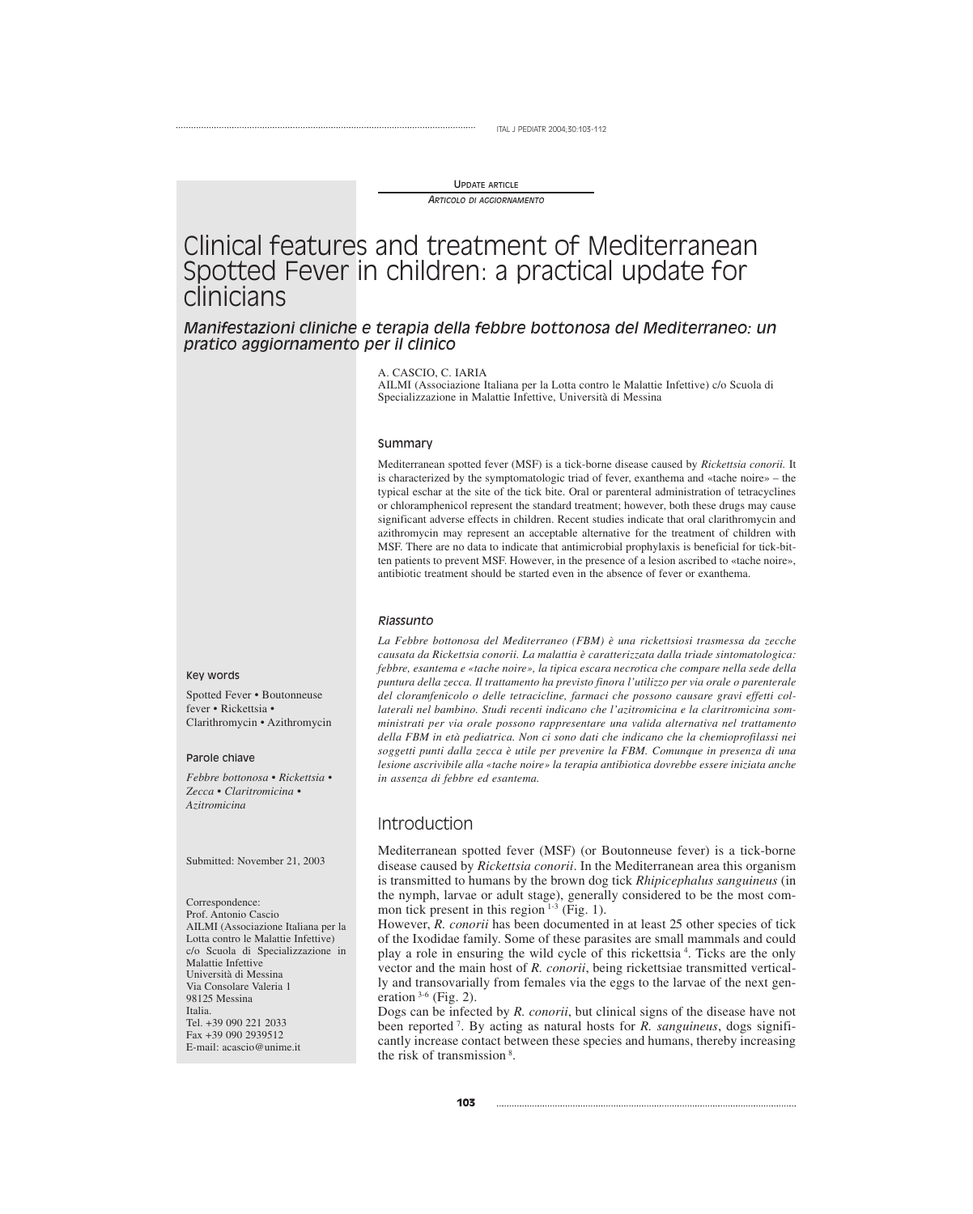#### UPDATE ARTICLE

*ARTICOLO DI AGGIORNAMENTO*

# Clinical features and treatment of Mediterranean Spotted Fever in children: a practical update for clinicians

*Manifestazioni cliniche e terapia della febbre bottonosa del Mediterraneo: un pratico aggiornamento per il clinico*

A. CASCIO, C. IARIA

AILMI (Associazione Italiana per la Lotta contro le Malattie Infettive) c/o Scuola di Specializzazione in Malattie Infettive, Università di Messina

#### Summary

Mediterranean spotted fever (MSF) is a tick-borne disease caused by *Rickettsia conorii.* It is characterized by the symptomatologic triad of fever, exanthema and «tache noire» – the typical eschar at the site of the tick bite. Oral or parenteral administration of tetracyclines or chloramphenicol represent the standard treatment; however, both these drugs may cause significant adverse effects in children. Recent studies indicate that oral clarithromycin and azithromycin may represent an acceptable alternative for the treatment of children with MSF. There are no data to indicate that antimicrobial prophylaxis is beneficial for tick-bitten patients to prevent MSF. However, in the presence of a lesion ascribed to «tache noire», antibiotic treatment should be started even in the absence of fever or exanthema.

#### *Riassunto*

*La Febbre bottonosa del Mediterraneo (FBM) è una rickettsiosi trasmessa da zecche causata da Rickettsia conorii. La malattia è caratterizzata dalla triade sintomatologica: febbre, esantema e «tache noire», la tipica escara necrotica che compare nella sede della puntura della zecca. Il trattamento ha previsto finora l'utilizzo per via orale o parenterale del cloramfenicolo o delle tetracicline, farmaci che possono causare gravi effetti collaterali nel bambino. Studi recenti indicano che l'azitromicina e la claritromicina somministrati per via orale possono rappresentare una valida alternativa nel trattamento della FBM in età pediatrica. Non ci sono dati che indicano che la chemioprofilassi nei soggetti punti dalla zecca è utile per prevenire la FBM. Comunque in presenza di una lesione ascrivibile alla «tache noire» la terapia antibiotica dovrebbe essere iniziata anche in assenza di febbre ed esantema.*

### Introduction

Mediterranean spotted fever (MSF) (or Boutonneuse fever) is a tick-borne disease caused by *Rickettsia conorii*. In the Mediterranean area this organism is transmitted to humans by the brown dog tick *Rhipicephalus sanguineus* (in the nymph, larvae or adult stage), generally considered to be the most common tick present in this region  $1-3$  (Fig. 1).

However, *R. conorii* has been documented in at least 25 other species of tick of the Ixodidae family. Some of these parasites are small mammals and could play a role in ensuring the wild cycle of this rickettsia <sup>4</sup> . Ticks are the only vector and the main host of *R. conorii*, being rickettsiae transmitted vertically and transovarially from females via the eggs to the larvae of the next generation  $3-6$  (Fig. 2).

Dogs can be infected by *R. conorii*, but clinical signs of the disease have not been reported <sup>7</sup> . By acting as natural hosts for *R. sanguineus*, dogs significantly increase contact between these species and humans, thereby increasing the risk of transmission<sup>8</sup>.

#### Key words

Spotted Fever • Boutonneuse fever • Rickettsia • Clarithromycin • Azithromycin

#### Parole chiave

*Febbre bottonosa • Rickettsia • Zecca • Claritromicina • Azitromicina*

Submitted: November 21, 2003

Correspondence:

Prof. Antonio Cascio AILMI (Associazione Italiana per la Lotta contro le Malattie Infettive) c/o Scuola di Specializzazione in Malattie Infettive Università di Messina Via Consolare Valeria 1 98125 Messina Italia. Tel. +39 090 221 2033 Fax +39 090 2939512 E-mail: acascio@unime.it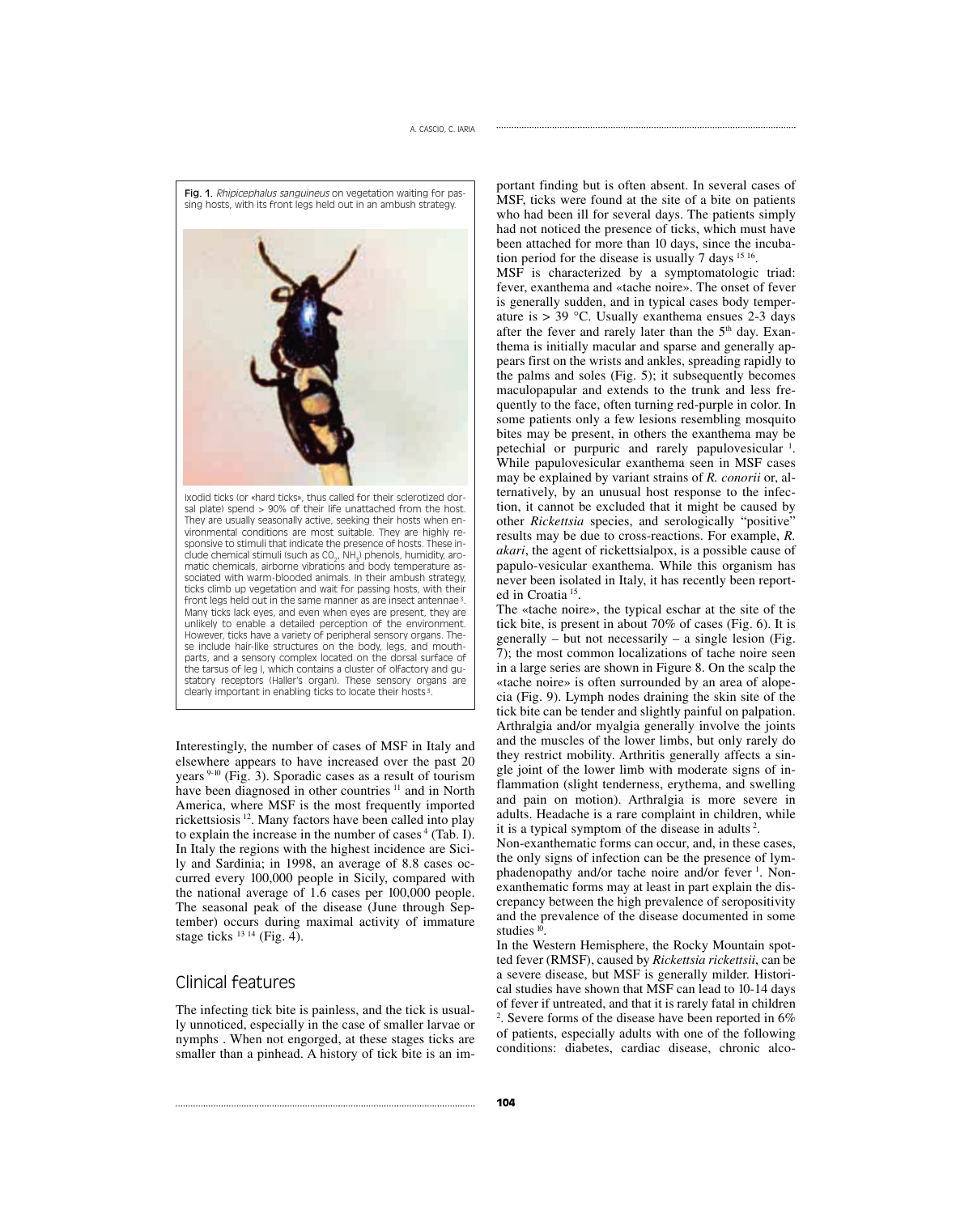

Interestingly, the number of cases of MSF in Italy and elsewhere appears to have increased over the past 20 years 9-10 (Fig. 3). Sporadic cases as a result of tourism have been diagnosed in other countries <sup>11</sup> and in North America, where MSF is the most frequently imported rickettsiosis 12. Many factors have been called into play to explain the increase in the number of cases  $4$  (Tab. I). In Italy the regions with the highest incidence are Sicily and Sardinia; in 1998, an average of 8.8 cases occurred every 100,000 people in Sicily, compared with the national average of 1.6 cases per 100,000 people. The seasonal peak of the disease (June through September) occurs during maximal activity of immature stage ticks  $^{13}$  14 (Fig. 4).

### Clinical features

The infecting tick bite is painless, and the tick is usually unnoticed, especially in the case of smaller larvae or nymphs . When not engorged, at these stages ticks are smaller than a pinhead. A history of tick bite is an im-

portant finding but is often absent. In several cases of MSF, ticks were found at the site of a bite on patients who had been ill for several days. The patients simply had not noticed the presence of ticks, which must have been attached for more than 10 days, since the incubation period for the disease is usually 7 days <sup>15 16</sup>.

MSF is characterized by a symptomatologic triad: fever, exanthema and «tache noire». The onset of fever is generally sudden, and in typical cases body temperature is  $> 39$  °C. Usually exanthema ensues 2-3 days after the fever and rarely later than the  $5<sup>th</sup>$  day. Exanthema is initially macular and sparse and generally appears first on the wrists and ankles, spreading rapidly to the palms and soles (Fig. 5); it subsequently becomes maculopapular and extends to the trunk and less frequently to the face, often turning red-purple in color. In some patients only a few lesions resembling mosquito bites may be present, in others the exanthema may be petechial or purpuric and rarely papulovesicular <sup>1</sup>. While papulovesicular exanthema seen in MSF cases may be explained by variant strains of *R. conorii* or, alternatively, by an unusual host response to the infection, it cannot be excluded that it might be caused by other *Rickettsia* species, and serologically "positive" results may be due to cross-reactions. For example, *R. akari*, the agent of rickettsialpox, is a possible cause of papulo-vesicular exanthema. While this organism has never been isolated in Italy, it has recently been reported in Croatia<sup>15</sup>.

The «tache noire», the typical eschar at the site of the tick bite, is present in about 70% of cases (Fig. 6). It is generally – but not necessarily – a single lesion (Fig. 7); the most common localizations of tache noire seen in a large series are shown in Figure 8. On the scalp the «tache noire» is often surrounded by an area of alopecia (Fig. 9). Lymph nodes draining the skin site of the tick bite can be tender and slightly painful on palpation. Arthralgia and/or myalgia generally involve the joints and the muscles of the lower limbs, but only rarely do they restrict mobility. Arthritis generally affects a single joint of the lower limb with moderate signs of inflammation (slight tenderness, erythema, and swelling and pain on motion). Arthralgia is more severe in adults. Headache is a rare complaint in children, while it is a typical symptom of the disease in adults <sup>2</sup> .

Non-exanthematic forms can occur, and, in these cases, the only signs of infection can be the presence of lymphadenopathy and/or tache noire and/or fever<sup>1</sup>. Nonexanthematic forms may at least in part explain the discrepancy between the high prevalence of seropositivity and the prevalence of the disease documented in some studies  $10$ .

In the Western Hemisphere, the Rocky Mountain spotted fever (RMSF), caused by *Rickettsia rickettsii*, can be a severe disease, but MSF is generally milder. Historical studies have shown that MSF can lead to 10-14 days of fever if untreated, and that it is rarely fatal in children 2 . Severe forms of the disease have been reported in 6% of patients, especially adults with one of the following conditions: diabetes, cardiac disease, chronic alco-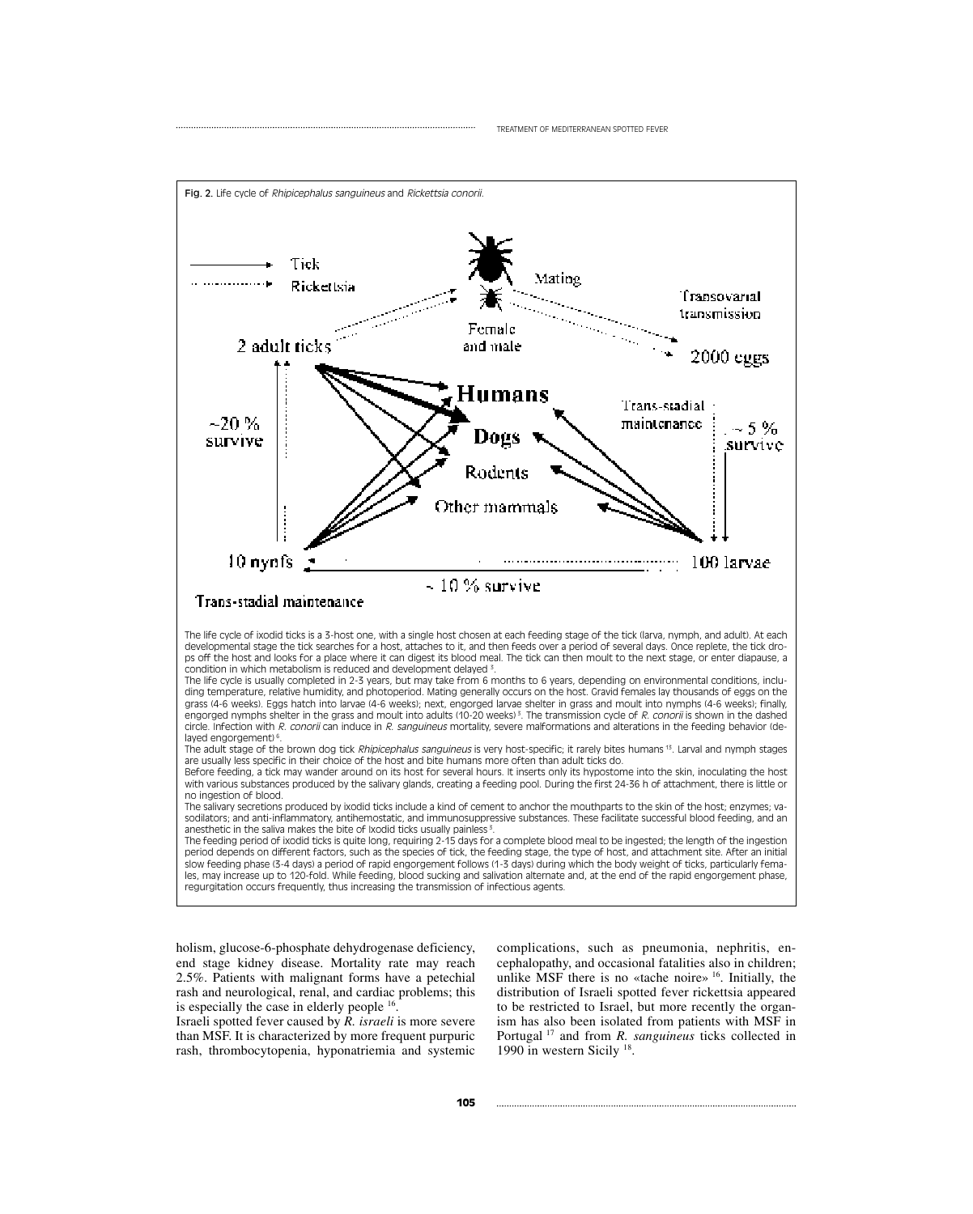

The life cycle of ixodid ticks is a 3-host one, with a single host chosen at each feeding stage of the tick (larva, nymph, and adult). At each developmental stage the tick searches for a host, attaches to it, and then feeds over a period of several days. Once replete, the tick drops off the host and looks for a place where it can digest its blood meal. The tick can then moult to the next stage, or enter diapause, a condition in which metabolism is reduced and development delayed 3.

The life cycle is usually completed in 2-3 years, but may take from 6 months to 6 years, depending on environmental conditions, including temperature, relative humidity, and photoperiod. Mating generally occurs on the host. Gravid females lay thousands of eggs on the grass (4-6 weeks). Eggs hatch into larvae (4-6 weeks); next, engorged larvae shelter in grass and moult into nymphs (4-6 weeks); finally, engorged nymphs shelter in the grass and moult into adults (10-20 weeks)<sup>3</sup>. The transmission cycle of R. conorii is shown in the dashed circle. Infection with R. conorii can induce in R. sanguineus mortality, severe malformations and alterations in the feeding behavior (delayed engorgement)<sup>6</sup>.

The adult stage of the brown dog tick Rhipicephalus sanguineus is very host-specific; it rarely bites humans 13. Larval and nymph stages are usually less specific in their choice of the host and bite humans more often than adult ticks do.

Before feeding, a tick may wander around on its host for several hours. It inserts only its hypostome into the skin, inoculating the host with various substances produced by the salivary glands, creating a feeding pool. During the first 24-36 h of attachment, there is little or no ingestion of blood.

The salivary secretions produced by ixodid ticks include a kind of cement to anchor the mouthparts to the skin of the host; enzymes; vasodilators; and anti-inflammatory, antihemostatic, and immunosuppressive substances. These facilitate successful blood feeding, and an anesthetic in the saliva makes the bite of Ixodid ticks usually painless 3.

The feeding period of ixodid ticks is quite long, requiring 2-15 days for a complete blood meal to be ingested; the length of the ingestion period depends on different factors, such as the species of tick, the feeding stage, the type of host, and attachment site. After an initial slow feeding phase (3-4 days) a period of rapid engorgement follows (1-3 days) during which the body weight of ticks, particularly females, may increase up to 120-fold. While feeding, blood sucking and salivation alternate and, at the end of the rapid engorgement phase, regurgitation occurs frequently, thus increasing the transmission of infectious agents.

holism, glucose-6-phosphate dehydrogenase deficiency, end stage kidney disease. Mortality rate may reach 2.5%. Patients with malignant forms have a petechial rash and neurological, renal, and cardiac problems; this is especially the case in elderly people 16.

Israeli spotted fever caused by *R. israeli* is more severe than MSF. It is characterized by more frequent purpuric rash, thrombocytopenia, hyponatriemia and systemic complications, such as pneumonia, nephritis, encephalopathy, and occasional fatalities also in children; unlike MSF there is no «tache noire»  $16$ . Initially, the distribution of Israeli spotted fever rickettsia appeared to be restricted to Israel, but more recently the organism has also been isolated from patients with MSF in Portugal <sup>17</sup> and from *R. sanguineus* ticks collected in 1990 in western Sicily 18.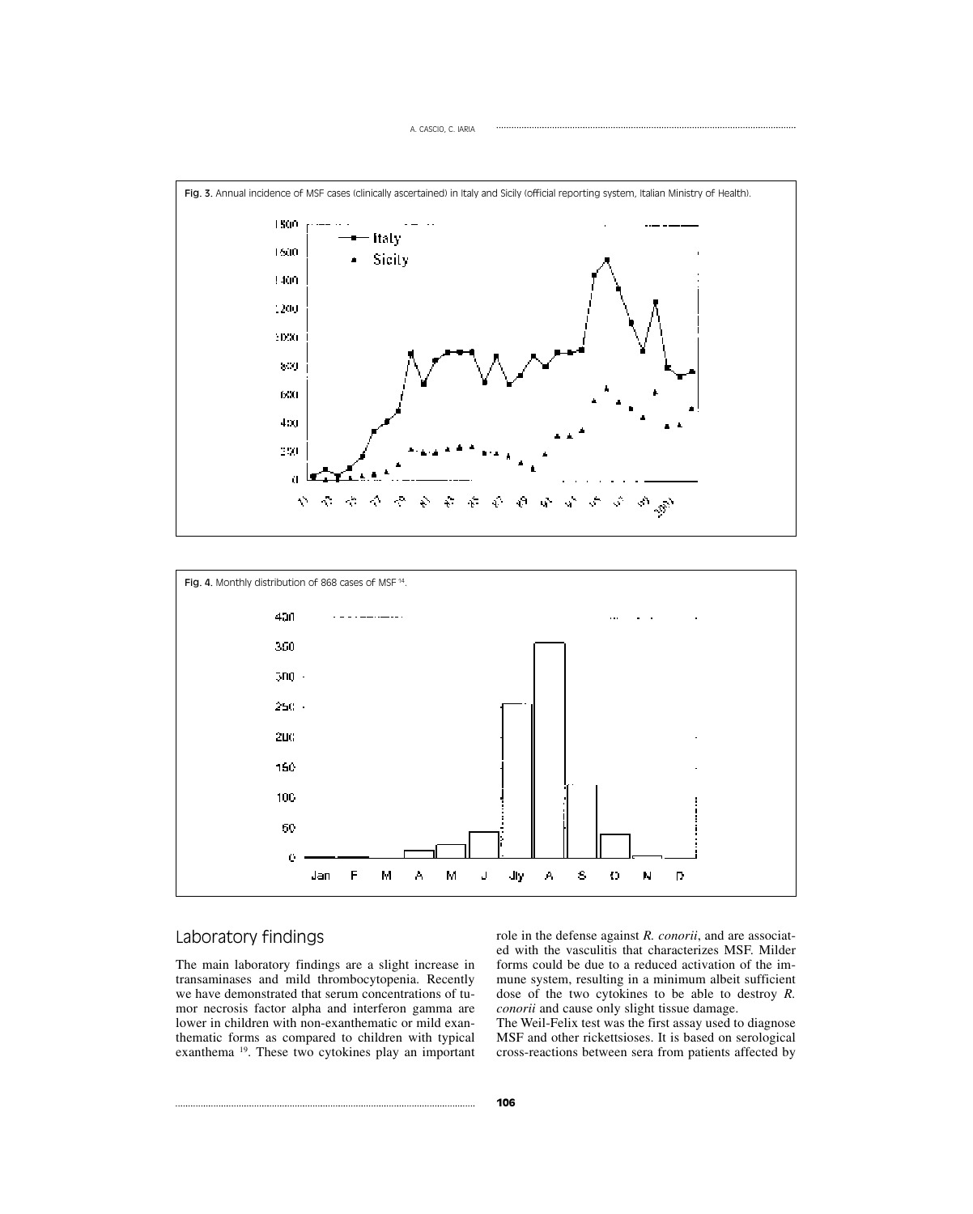



## Laboratory findings

The main laboratory findings are a slight increase in transaminases and mild thrombocytopenia. Recently we have demonstrated that serum concentrations of tumor necrosis factor alpha and interferon gamma are lower in children with non-exanthematic or mild exanthematic forms as compared to children with typical exanthema 19. These two cytokines play an important role in the defense against *R. conorii*, and are associated with the vasculitis that characterizes MSF. Milder forms could be due to a reduced activation of the immune system, resulting in a minimum albeit sufficient dose of the two cytokines to be able to destroy *R. conorii* and cause only slight tissue damage.

The Weil-Felix test was the first assay used to diagnose MSF and other rickettsioses. It is based on serological cross-reactions between sera from patients affected by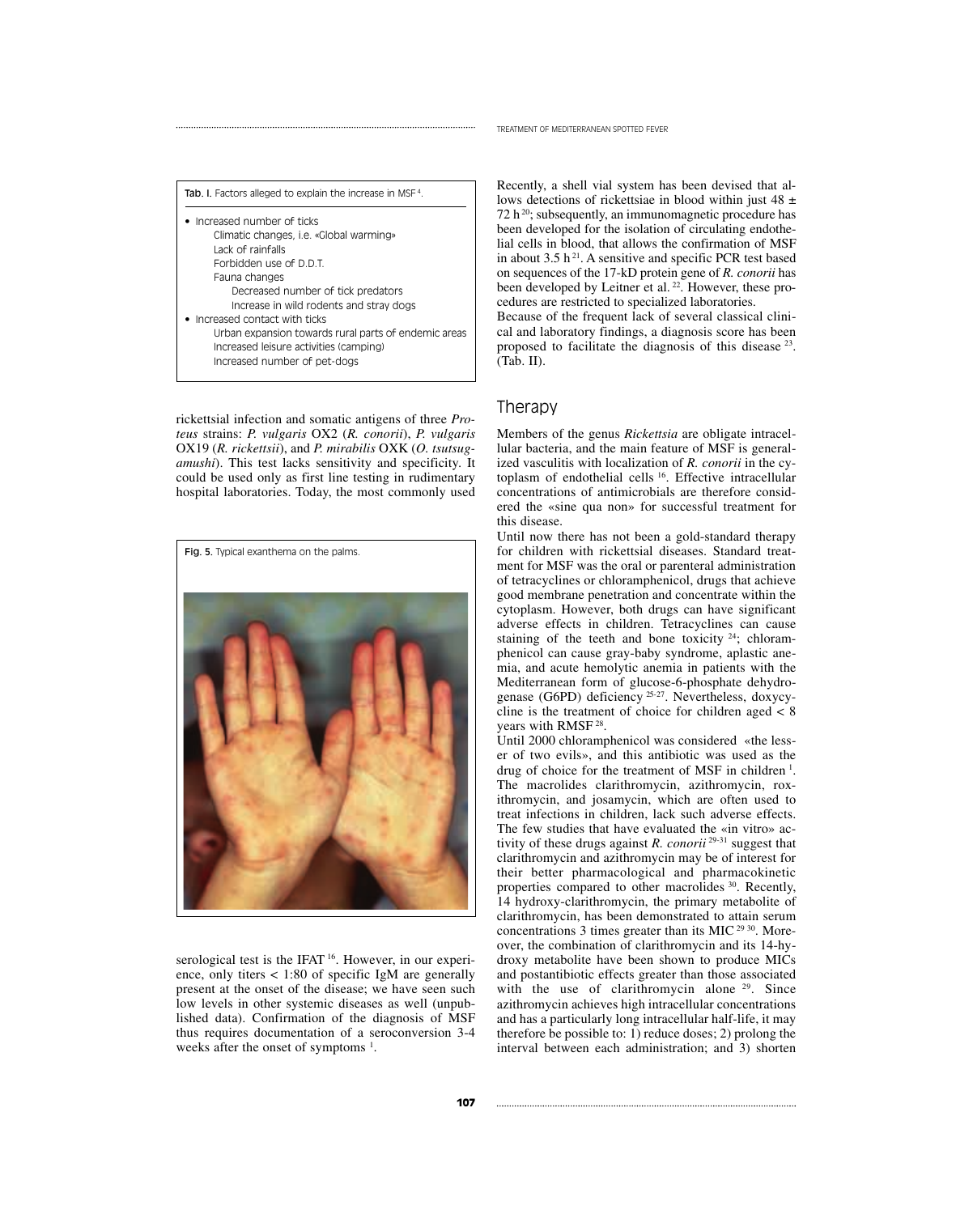| <b>Tab. I.</b> Factors alleged to explain the increase in MSF <sup>4</sup> . |  |
|------------------------------------------------------------------------------|--|
| • Increased number of ticks                                                  |  |
| Climatic changes, i.e. «Global warming»                                      |  |
| Lack of rainfalls                                                            |  |
| Forbidden use of D.D.T.                                                      |  |
| Fauna changes                                                                |  |
| Decreased number of tick predators                                           |  |
| Increase in wild rodents and stray dogs                                      |  |
| • Increased contact with ticks                                               |  |
| Urban expansion towards rural parts of endemic areas                         |  |
| Increased leisure activities (camping)                                       |  |
|                                                                              |  |
| Increased number of pet-dogs                                                 |  |

rickettsial infection and somatic antigens of three *Proteus* strains: *P. vulgaris* OX2 (*R. conorii*), *P. vulgaris* OX19 (*R. rickettsii*), and *P. mirabilis* OXK (*O. tsutsugamushi*). This test lacks sensitivity and specificity. It could be used only as first line testing in rudimentary hospital laboratories. Today, the most commonly used



serological test is the IFAT <sup>16</sup>. However, in our experience, only titers  $\langle 1:80 \rangle$  of specific IgM are generally present at the onset of the disease; we have seen such low levels in other systemic diseases as well (unpublished data). Confirmation of the diagnosis of MSF thus requires documentation of a seroconversion 3-4 weeks after the onset of symptoms  $<sup>1</sup>$ .</sup>

Recently, a shell vial system has been devised that allows detections of rickettsiae in blood within just  $48 \pm$ 72 h<sup>20</sup>; subsequently, an immunomagnetic procedure has been developed for the isolation of circulating endothelial cells in blood, that allows the confirmation of MSF in about 3.5  $h^{21}$ . A sensitive and specific PCR test based on sequences of the 17-kD protein gene of *R. conorii* has been developed by Leitner et al.<sup>22</sup>. However, these procedures are restricted to specialized laboratories.

Because of the frequent lack of several classical clinical and laboratory findings, a diagnosis score has been proposed to facilitate the diagnosis of this disease 23. (Tab. II).

## Therapy

Members of the genus *Rickettsia* are obligate intracellular bacteria, and the main feature of MSF is generalized vasculitis with localization of *R. conorii* in the cytoplasm of endothelial cells <sup>16</sup>. Effective intracellular concentrations of antimicrobials are therefore considered the «sine qua non» for successful treatment for this disease.

Until now there has not been a gold-standard therapy for children with rickettsial diseases. Standard treatment for MSF was the oral or parenteral administration of tetracyclines or chloramphenicol, drugs that achieve good membrane penetration and concentrate within the cytoplasm. However, both drugs can have significant adverse effects in children. Tetracyclines can cause staining of the teeth and bone toxicity  $24$ ; chloramphenicol can cause gray-baby syndrome, aplastic anemia, and acute hemolytic anemia in patients with the Mediterranean form of glucose-6-phosphate dehydrogenase (G6PD) deficiency 25-27. Nevertheless, doxycycline is the treatment of choice for children aged  $\lt 8$ years with RMSF 28.

Until 2000 chloramphenicol was considered «the lesser of two evils», and this antibiotic was used as the drug of choice for the treatment of MSF in children<sup>1</sup>. The macrolides clarithromycin, azithromycin, roxithromycin, and josamycin, which are often used to treat infections in children, lack such adverse effects. The few studies that have evaluated the «in vitro» activity of these drugs against *R. conorii* 29-31 suggest that clarithromycin and azithromycin may be of interest for their better pharmacological and pharmacokinetic properties compared to other macrolides <sup>30</sup>. Recently, 14 hydroxy-clarithromycin, the primary metabolite of clarithromycin, has been demonstrated to attain serum concentrations 3 times greater than its MIC 29 30. Moreover, the combination of clarithromycin and its 14-hydroxy metabolite have been shown to produce MICs and postantibiotic effects greater than those associated with the use of clarithromycin alone <sup>29</sup>. Since azithromycin achieves high intracellular concentrations and has a particularly long intracellular half-life, it may therefore be possible to: 1) reduce doses; 2) prolong the interval between each administration; and 3) shorten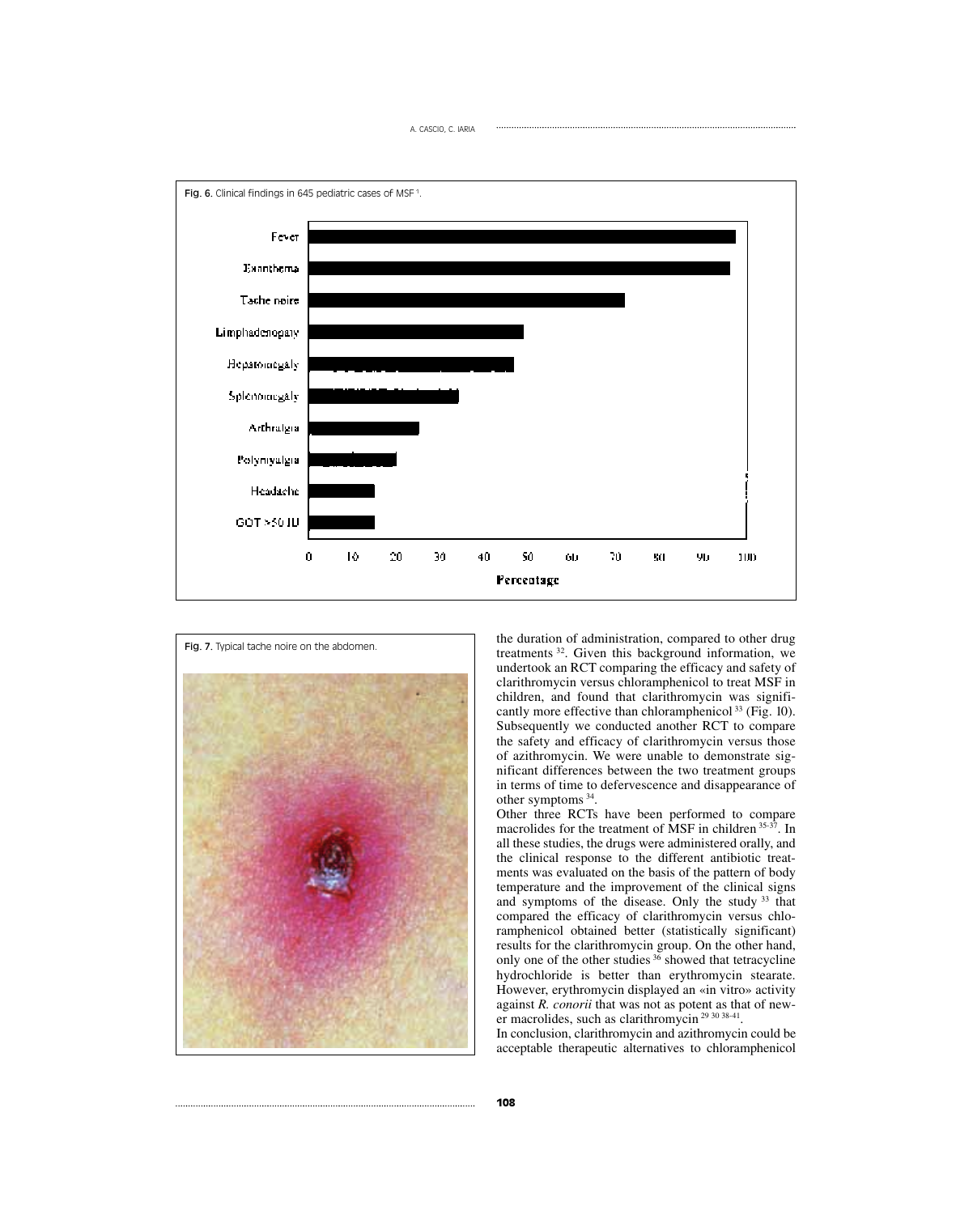



the duration of administration, compared to other drug treatments 32. Given this background information, we undertook an RCT comparing the efficacy and safety of clarithromycin versus chloramphenicol to treat MSF in children, and found that clarithromycin was significantly more effective than chloramphenicol  $^{33}$  (Fig. 10). Subsequently we conducted another RCT to compare the safety and efficacy of clarithromycin versus those of azithromycin. We were unable to demonstrate significant differences between the two treatment groups in terms of time to defervescence and disappearance of other symptoms 34.

Other three RCTs have been performed to compare macrolides for the treatment of MSF in children 35-37. In all these studies, the drugs were administered orally, and the clinical response to the different antibiotic treatments was evaluated on the basis of the pattern of body temperature and the improvement of the clinical signs and symptoms of the disease. Only the study <sup>33</sup> that compared the efficacy of clarithromycin versus chloramphenicol obtained better (statistically significant) results for the clarithromycin group. On the other hand, only one of the other studies  $36$  showed that tetracycline hydrochloride is better than erythromycin stearate. However, erythromycin displayed an «in vitro» activity against *R. conorii* that was not as potent as that of newer macrolides, such as clarithromycin<sup>29 30 38-41</sup>.

In conclusion, clarithromycin and azithromycin could be acceptable therapeutic alternatives to chloramphenicol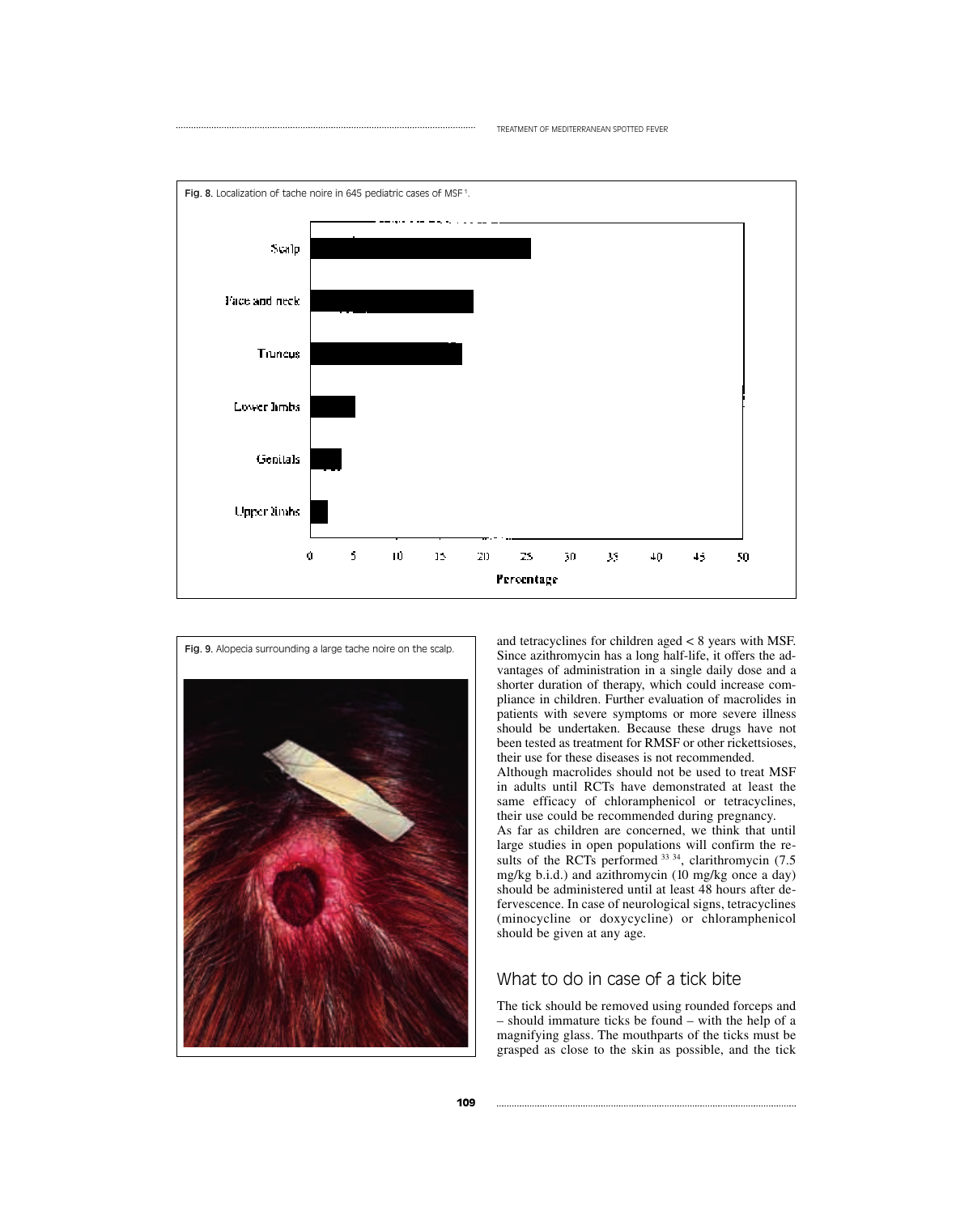



and tetracyclines for children aged < 8 years with MSF. Since azithromycin has a long half-life, it offers the advantages of administration in a single daily dose and a shorter duration of therapy, which could increase compliance in children. Further evaluation of macrolides in patients with severe symptoms or more severe illness should be undertaken. Because these drugs have not been tested as treatment for RMSF or other rickettsioses, their use for these diseases is not recommended. Although macrolides should not be used to treat MSF in adults until RCTs have demonstrated at least the

same efficacy of chloramphenicol or tetracyclines, their use could be recommended during pregnancy. As far as children are concerned, we think that until large studies in open populations will confirm the results of the RCTs performed  $33 \frac{34}{7}$ , clarithromycin (7.5) mg/kg b.i.d.) and azithromycin (10 mg/kg once a day) should be administered until at least 48 hours after defervescence. In case of neurological signs, tetracyclines (minocycline or doxycycline) or chloramphenicol should be given at any age.

## What to do in case of a tick bite

The tick should be removed using rounded forceps and – should immature ticks be found – with the help of a magnifying glass. The mouthparts of the ticks must be grasped as close to the skin as possible, and the tick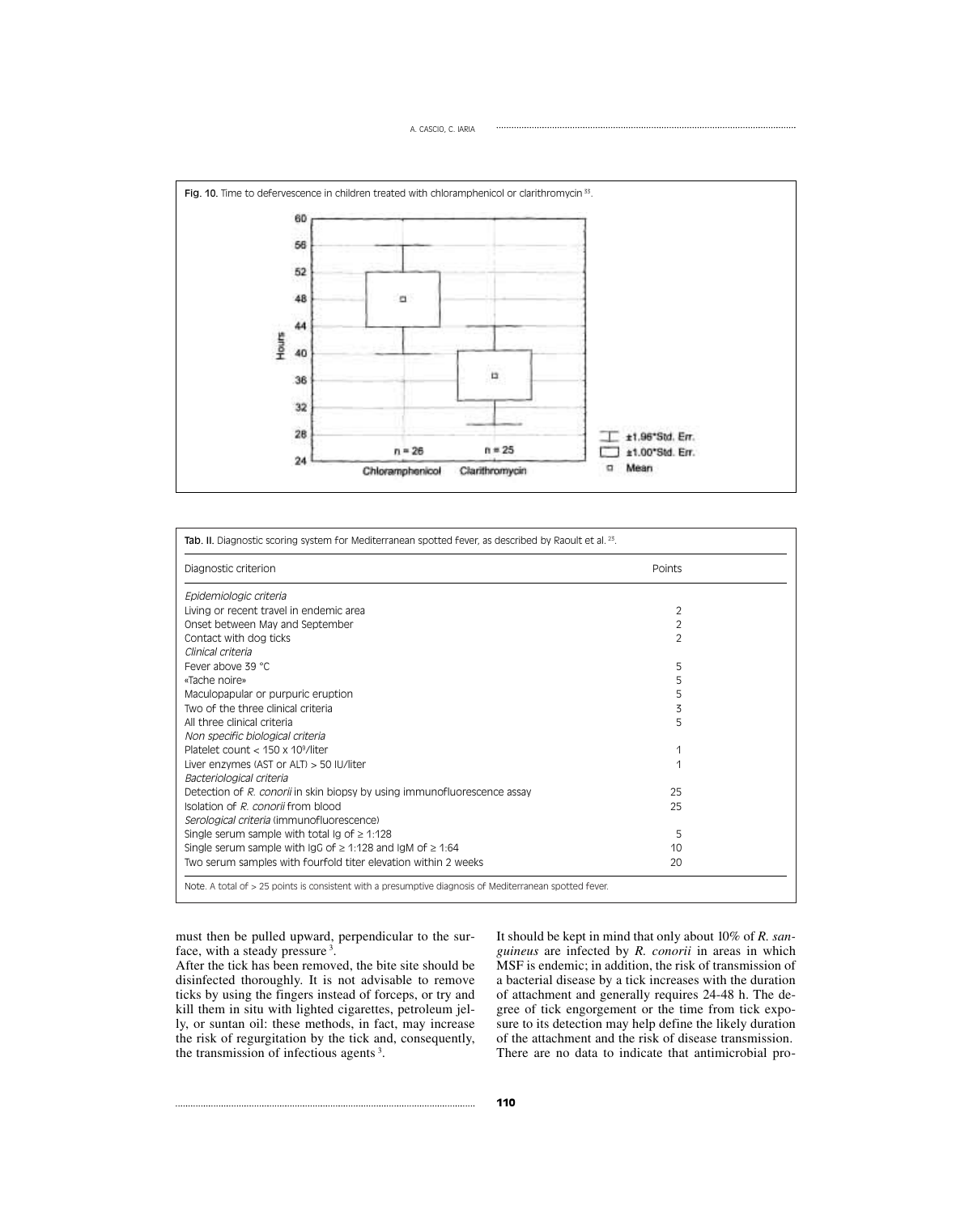

| Diagnostic criterion                                                     | Points         |  |  |
|--------------------------------------------------------------------------|----------------|--|--|
| Epidemiologic criteria                                                   |                |  |  |
| Living or recent travel in endemic area                                  | 2              |  |  |
| Onset between May and September                                          | $\overline{2}$ |  |  |
| Contact with dog ticks                                                   | $\overline{2}$ |  |  |
| Clinical criteria                                                        |                |  |  |
| Fever above 39 °C                                                        | 5              |  |  |
| «Tache noire»                                                            | 5              |  |  |
| Maculopapular or purpuric eruption                                       | 5              |  |  |
| Two of the three clinical criteria                                       | 3              |  |  |
| All three clinical criteria                                              | 5              |  |  |
| Non specific biological criteria                                         |                |  |  |
| Platelet count $<$ 150 x 10 <sup>9</sup> /liter                          |                |  |  |
| Liver enzymes (AST or ALT) $>$ 50 IU/liter                               | 1              |  |  |
| Bacteriological criteria                                                 |                |  |  |
| Detection of R. conorii in skin biopsy by using immunofluorescence assay | 25             |  |  |
| Isolation of R. conorii from blood                                       | 25             |  |  |
| Serological criteria (immunofluorescence)                                |                |  |  |
| Single serum sample with total Ig of $\geq 1:128$                        | 5              |  |  |
| Single serum sample with IgG of $\geq$ 1:128 and IgM of $\geq$ 1:64      | 10             |  |  |
| Two serum samples with fourfold titer elevation within 2 weeks           | 20             |  |  |

must then be pulled upward, perpendicular to the surface, with a steady pressure<sup>3</sup>.

After the tick has been removed, the bite site should be disinfected thoroughly. It is not advisable to remove ticks by using the fingers instead of forceps, or try and kill them in situ with lighted cigarettes, petroleum jelly, or suntan oil: these methods, in fact, may increase the risk of regurgitation by the tick and, consequently, the transmission of infectious agents <sup>3</sup> .

It should be kept in mind that only about 10% of *R. sanguineus* are infected by *R. conorii* in areas in which MSF is endemic; in addition, the risk of transmission of a bacterial disease by a tick increases with the duration of attachment and generally requires 24-48 h. The degree of tick engorgement or the time from tick exposure to its detection may help define the likely duration of the attachment and the risk of disease transmission. There are no data to indicate that antimicrobial pro-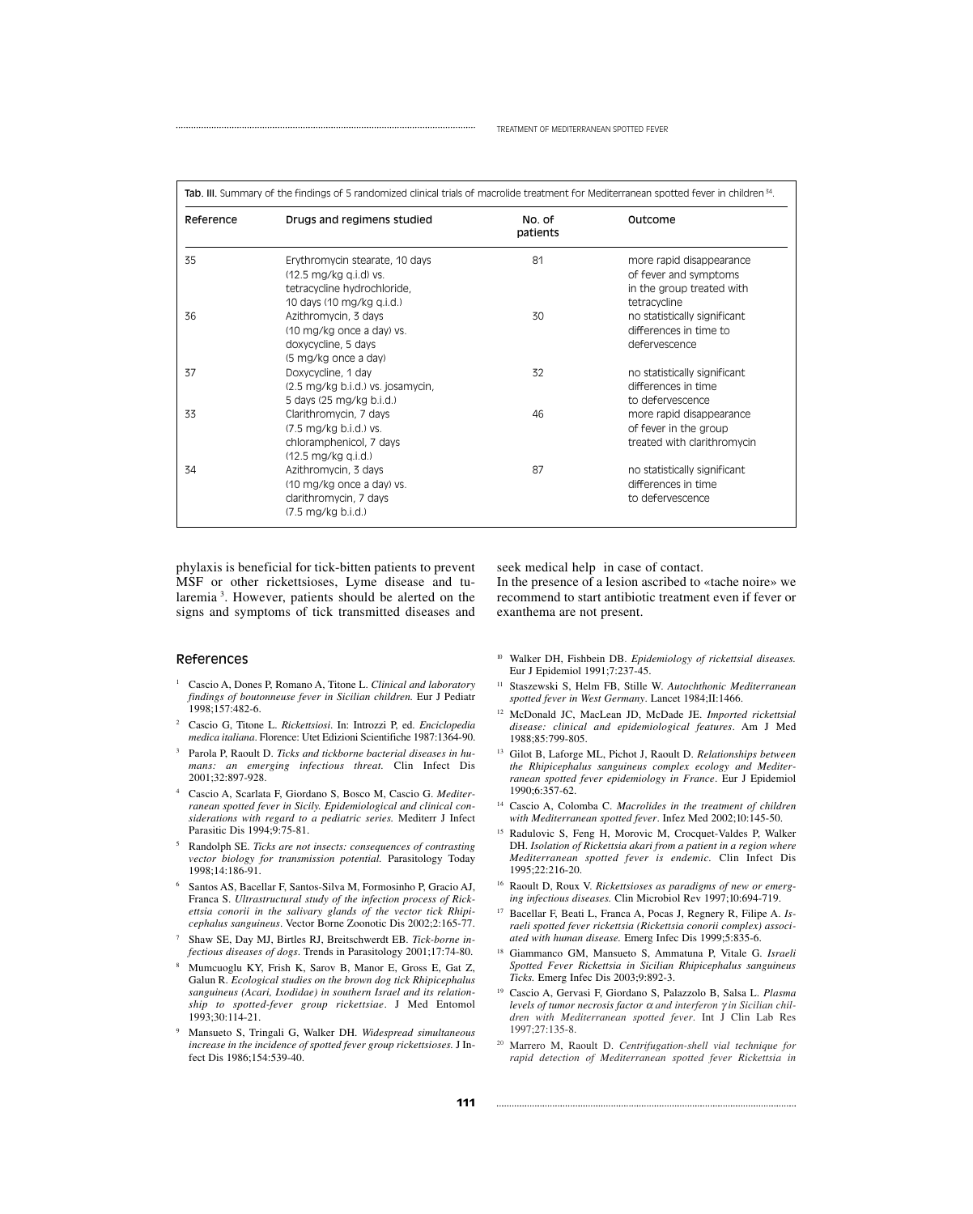| Reference | Drugs and regimens studied            | No. of<br>patients | Outcome                      |
|-----------|---------------------------------------|--------------------|------------------------------|
| 35        | Erythromycin stearate, 10 days        | 81                 | more rapid disappearance     |
|           | $(12.5 \text{ mg/kg} q.i.d)$ vs.      |                    | of fever and symptoms        |
|           | tetracycline hydrochloride,           |                    | in the group treated with    |
|           | 10 days (10 mg/kg g.i.d.)             |                    | tetracycline                 |
| 36        | Azithromycin, 3 days                  | 30                 | no statistically significant |
|           | (10 mg/kg once a day) vs.             |                    | differences in time to       |
|           | doxycycline, 5 days                   |                    | defervescence                |
|           | (5 mg/kg once a day)                  |                    |                              |
| 37        | Doxycycline, 1 day                    | 32                 | no statistically significant |
|           | (2.5 mg/kg b.i.d.) vs. josamycin,     |                    | differences in time          |
|           | 5 days (25 mg/kg b.i.d.)              |                    | to defervescence             |
| 33        | Clarithromycin, 7 days                | 46                 | more rapid disappearance     |
|           | (7.5 mg/kg b.i.d.) vs.                |                    | of fever in the group        |
|           | chloramphenicol, 7 days               |                    | treated with clarithromycin  |
|           | $(12.5 \text{ mg/kg} \text{ q.i.d.})$ |                    |                              |
| 34        | Azithromycin, 3 days                  | 87                 | no statistically significant |
|           | (10 mg/kg once a day) vs.             |                    | differences in time          |
|           | clarithromycin, 7 days                |                    | to defervescence             |
|           | $(7.5 \text{ mg/kg b.i.d.})$          |                    |                              |

phylaxis is beneficial for tick-bitten patients to prevent MSF or other rickettsioses, Lyme disease and tularemia<sup>3</sup>. However, patients should be alerted on the signs and symptoms of tick transmitted diseases and

#### References

- <sup>1</sup> Cascio A, Dones P, Romano A, Titone L. *Clinical and laboratory findings of boutonneuse fever in Sicilian children.* Eur J Pediatr 1998;157:482-6.
- <sup>2</sup> Cascio G, Titone L. *Rickettsiosi*. In: Introzzi P, ed. *Enciclopedia medica italiana*. Florence: Utet Edizioni Scientifiche 1987:1364-90.
- <sup>3</sup> Parola P, Raoult D. *Ticks and tickborne bacterial diseases in humans: an emerging infectious threat.* Clin Infect Dis 2001;32:897-928.
- <sup>4</sup> Cascio A, Scarlata F, Giordano S, Bosco M, Cascio G. *Mediterranean spotted fever in Sicily. Epidemiological and clinical considerations with regard to a pediatric series.* Mediterr J Infect Parasitic Dis 1994;9:75-81.
- <sup>5</sup> Randolph SE. *Ticks are not insects: consequences of contrasting vector biology for transmission potential.* Parasitology Today 1998;14:186-91.
- <sup>6</sup> Santos AS, Bacellar F, Santos-Silva M, Formosinho P, Gracio AJ, Franca S. *Ultrastructural study of the infection process of Rickettsia conorii in the salivary glands of the vector tick Rhipicephalus sanguineus*. Vector Borne Zoonotic Dis 2002;2:165-77.
- Shaw SE, Day MJ, Birtles RJ, Breitschwerdt EB. *Tick-borne infectious diseases of dogs*. Trends in Parasitology 2001;17:74-80.
- <sup>8</sup> Mumcuoglu KY, Frish K, Sarov B, Manor E, Gross E, Gat Z, Galun R. *Ecological studies on the brown dog tick Rhipicephalus sanguineus (Acari, Ixodidae) in southern Israel and its relationship to spotted-fever group rickettsiae*. J Med Entomol 1993;30:114-21.
- <sup>9</sup> Mansueto S, Tringali G, Walker DH. *Widespread simultaneous increase in the incidence of spotted fever group rickettsioses.* J Infect Dis 1986;154:539-40.

seek medical help in case of contact.

In the presence of a lesion ascribed to «tache noire» we recommend to start antibiotic treatment even if fever or exanthema are not present.

- <sup>10</sup> Walker DH, Fishbein DB. *Epidemiology of rickettsial diseases.* Eur J Epidemiol 1991;7:237-45.
- <sup>11</sup> Staszewski S, Helm FB, Stille W. *Autochthonic Mediterranean spotted fever in West Germany*. Lancet 1984;II:1466.
- <sup>12</sup> McDonald JC, MacLean JD, McDade JE. *Imported rickettsial disease: clinical and epidemiological features*. Am J Med 1988;85:799-805.
- <sup>13</sup> Gilot B, Laforge ML, Pichot J, Raoult D. *Relationships between the Rhipicephalus sanguineus complex ecology and Mediterranean spotted fever epidemiology in France*. Eur J Epidemiol 1990;6:357-62.
- <sup>14</sup> Cascio A, Colomba C. *Macrolides in the treatment of children with Mediterranean spotted fever*. Infez Med 2002;10:145-50.
- Radulovic S, Feng H, Morovic M, Crocquet-Valdes P, Walker DH. *Isolation of Rickettsia akari from a patient in a region where Mediterranean spotted fever is endemic.* Clin Infect Dis 1995;22:216-20.
- <sup>16</sup> Raoult D, Roux V. *Rickettsioses as paradigms of new or emerging infectious diseases.* Clin Microbiol Rev 1997;10:694-719.
- <sup>17</sup> Bacellar F, Beati L, Franca A, Pocas J, Regnery R, Filipe A. *Israeli spotted fever rickettsia (Rickettsia conorii complex) associated with human disease.* Emerg Infec Dis 1999;5:835-6.
- <sup>18</sup> Giammanco GM, Mansueto S, Ammatuna P, Vitale G. *Israeli Spotted Fever Rickettsia in Sicilian Rhipicephalus sanguineus Ticks.* Emerg Infec Dis 2003;9:892-3.
- <sup>19</sup> Cascio A, Gervasi F, Giordano S, Palazzolo B, Salsa L. *Plasma levels of tumor necrosis factor* <sup>α</sup> *and interferon* γ *in Sicilian children with Mediterranean spotted fever*. Int J Clin Lab Res 1997;27:135-8.
- <sup>20</sup> Marrero M, Raoult D. *Centrifugation-shell vial technique for rapid detection of Mediterranean spotted fever Rickettsia in*